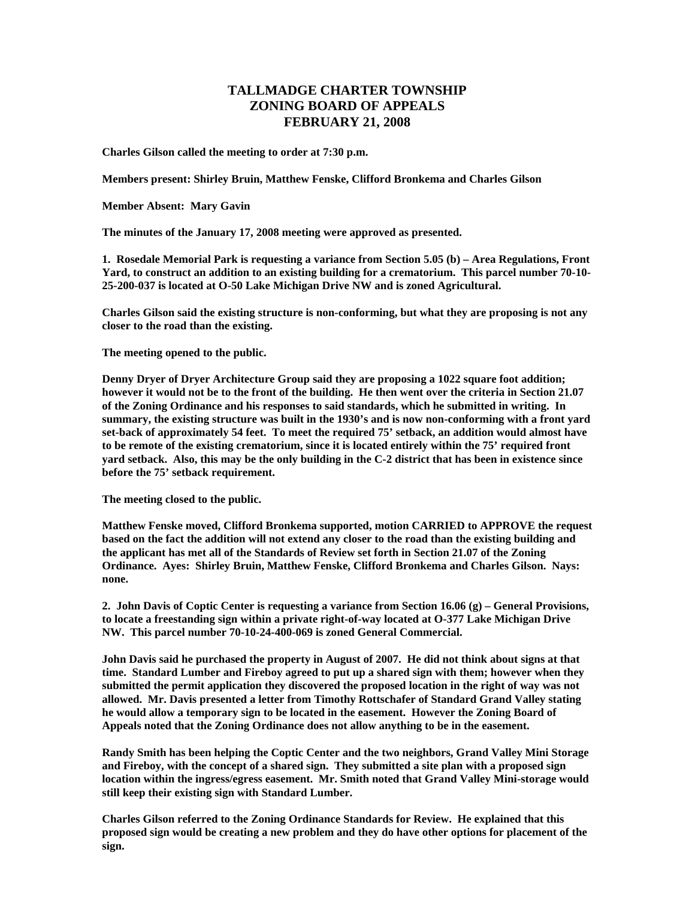## **TALLMADGE CHARTER TOWNSHIP ZONING BOARD OF APPEALS FEBRUARY 21, 2008**

**Charles Gilson called the meeting to order at 7:30 p.m.** 

**Members present: Shirley Bruin, Matthew Fenske, Clifford Bronkema and Charles Gilson** 

**Member Absent: Mary Gavin** 

**The minutes of the January 17, 2008 meeting were approved as presented.** 

**1. Rosedale Memorial Park is requesting a variance from Section 5.05 (b) – Area Regulations, Front Yard, to construct an addition to an existing building for a crematorium. This parcel number 70-10- 25-200-037 is located at O-50 Lake Michigan Drive NW and is zoned Agricultural.** 

**Charles Gilson said the existing structure is non-conforming, but what they are proposing is not any closer to the road than the existing.** 

**The meeting opened to the public.** 

**Denny Dryer of Dryer Architecture Group said they are proposing a 1022 square foot addition; however it would not be to the front of the building. He then went over the criteria in Section 21.07 of the Zoning Ordinance and his responses to said standards, which he submitted in writing. In summary, the existing structure was built in the 1930's and is now non-conforming with a front yard set-back of approximately 54 feet. To meet the required 75' setback, an addition would almost have to be remote of the existing crematorium, since it is located entirely within the 75' required front yard setback. Also, this may be the only building in the C-2 district that has been in existence since before the 75' setback requirement.** 

**The meeting closed to the public.** 

**Matthew Fenske moved, Clifford Bronkema supported, motion CARRIED to APPROVE the request based on the fact the addition will not extend any closer to the road than the existing building and the applicant has met all of the Standards of Review set forth in Section 21.07 of the Zoning Ordinance. Ayes: Shirley Bruin, Matthew Fenske, Clifford Bronkema and Charles Gilson. Nays: none.** 

**2. John Davis of Coptic Center is requesting a variance from Section 16.06 (g) – General Provisions, to locate a freestanding sign within a private right-of-way located at O-377 Lake Michigan Drive NW. This parcel number 70-10-24-400-069 is zoned General Commercial.** 

**John Davis said he purchased the property in August of 2007. He did not think about signs at that time. Standard Lumber and Fireboy agreed to put up a shared sign with them; however when they submitted the permit application they discovered the proposed location in the right of way was not allowed. Mr. Davis presented a letter from Timothy Rottschafer of Standard Grand Valley stating he would allow a temporary sign to be located in the easement. However the Zoning Board of Appeals noted that the Zoning Ordinance does not allow anything to be in the easement.** 

**Randy Smith has been helping the Coptic Center and the two neighbors, Grand Valley Mini Storage and Fireboy, with the concept of a shared sign. They submitted a site plan with a proposed sign location within the ingress/egress easement. Mr. Smith noted that Grand Valley Mini-storage would still keep their existing sign with Standard Lumber.** 

**Charles Gilson referred to the Zoning Ordinance Standards for Review. He explained that this proposed sign would be creating a new problem and they do have other options for placement of the sign.**